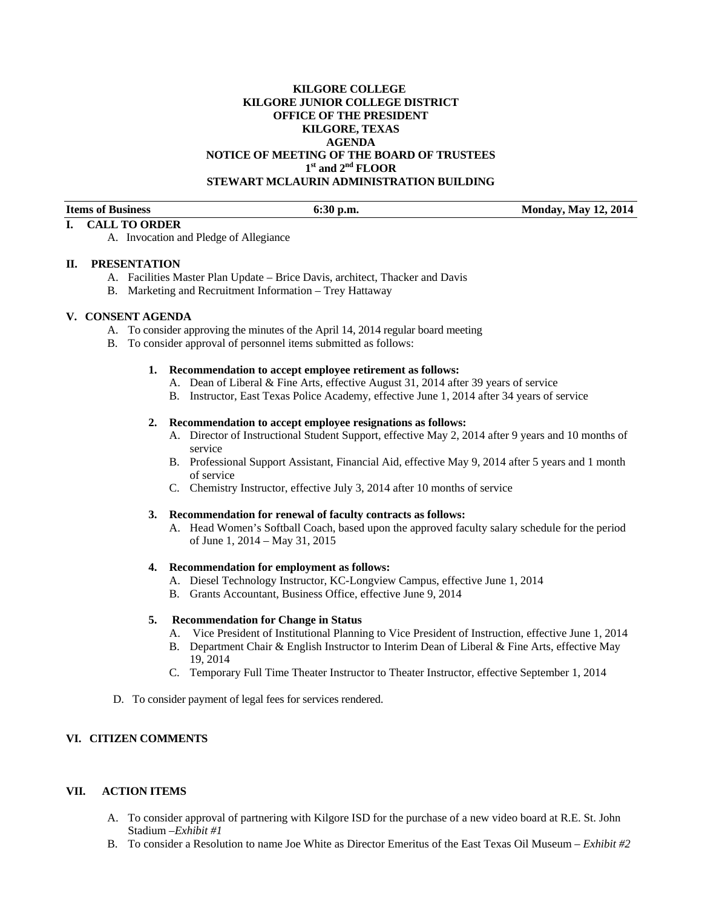## **KILGORE COLLEGE KILGORE JUNIOR COLLEGE DISTRICT OFFICE OF THE PRESIDENT KILGORE, TEXAS AGENDA NOTICE OF MEETING OF THE BOARD OF TRUSTEES 1st and 2nd FLOOR STEWART MCLAURIN ADMINISTRATION BUILDING**

**Items of Business 6:30 p.m.** 6:30 p.m. Monday, May 12, 2014

#### **I. CALL TO ORDER**  A. Invocation and Pledge of Allegiance

## **II. PRESENTATION**

- A. Facilities Master Plan Update Brice Davis, architect, Thacker and Davis
- B. Marketing and Recruitment Information Trey Hattaway

#### **V. CONSENT AGENDA**

- A. To consider approving the minutes of the April 14, 2014 regular board meeting
- B. To consider approval of personnel items submitted as follows:

#### **1. Recommendation to accept employee retirement as follows:**

- A. Dean of Liberal & Fine Arts, effective August 31, 2014 after 39 years of service
- B. Instructor, East Texas Police Academy, effective June 1, 2014 after 34 years of service

#### **2. Recommendation to accept employee resignations as follows:**

- A. Director of Instructional Student Support, effective May 2, 2014 after 9 years and 10 months of service
- B. Professional Support Assistant, Financial Aid, effective May 9, 2014 after 5 years and 1 month of service
- C. Chemistry Instructor, effective July 3, 2014 after 10 months of service

#### **3. Recommendation for renewal of faculty contracts as follows:**

A. Head Women's Softball Coach, based upon the approved faculty salary schedule for the period of June 1, 2014 – May 31, 2015

#### **4. Recommendation for employment as follows:**

- A. Diesel Technology Instructor, KC-Longview Campus, effective June 1, 2014
- B. Grants Accountant, Business Office, effective June 9, 2014

#### **5. Recommendation for Change in Status**

- A. Vice President of Institutional Planning to Vice President of Instruction, effective June 1, 2014
- B. Department Chair & English Instructor to Interim Dean of Liberal & Fine Arts, effective May 19, 2014
- C. Temporary Full Time Theater Instructor to Theater Instructor, effective September 1, 2014
- D. To consider payment of legal fees for services rendered.

#### **VI. CITIZEN COMMENTS**

# **VII. ACTION ITEMS**

- A. To consider approval of partnering with Kilgore ISD for the purchase of a new video board at R.E. St. John Stadium –*Exhibit #1*
- B. To consider a Resolution to name Joe White as Director Emeritus of the East Texas Oil Museum *Exhibit #2*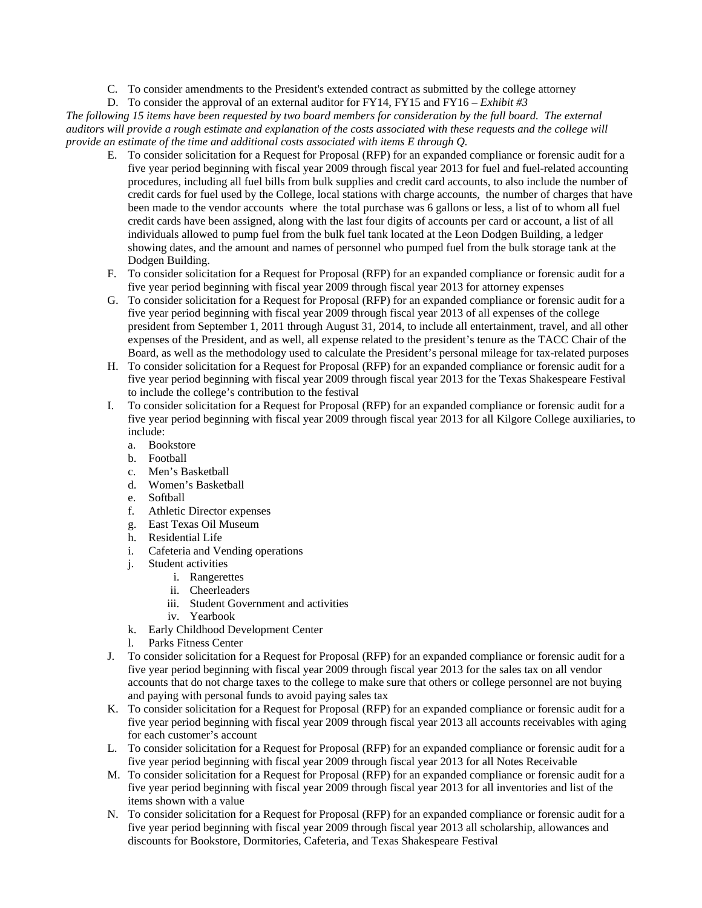C. To consider amendments to the President's extended contract as submitted by the college attorney

D. To consider the approval of an external auditor for FY14, FY15 and FY16 – *Exhibit #3* 

*The following 15 items have been requested by two board members for consideration by the full board. The external auditors will provide a rough estimate and explanation of the costs associated with these requests and the college will provide an estimate of the time and additional costs associated with items E through Q.* 

- E. To consider solicitation for a Request for Proposal (RFP) for an expanded compliance or forensic audit for a five year period beginning with fiscal year 2009 through fiscal year 2013 for fuel and fuel-related accounting procedures, including all fuel bills from bulk supplies and credit card accounts, to also include the number of credit cards for fuel used by the College, local stations with charge accounts, the number of charges that have been made to the vendor accounts where the total purchase was 6 gallons or less, a list of to whom all fuel credit cards have been assigned, along with the last four digits of accounts per card or account, a list of all individuals allowed to pump fuel from the bulk fuel tank located at the Leon Dodgen Building, a ledger showing dates, and the amount and names of personnel who pumped fuel from the bulk storage tank at the Dodgen Building.
- F. To consider solicitation for a Request for Proposal (RFP) for an expanded compliance or forensic audit for a five year period beginning with fiscal year 2009 through fiscal year 2013 for attorney expenses
- G. To consider solicitation for a Request for Proposal (RFP) for an expanded compliance or forensic audit for a five year period beginning with fiscal year 2009 through fiscal year 2013 of all expenses of the college president from September 1, 2011 through August 31, 2014, to include all entertainment, travel, and all other expenses of the President, and as well, all expense related to the president's tenure as the TACC Chair of the Board, as well as the methodology used to calculate the President's personal mileage for tax-related purposes
- H. To consider solicitation for a Request for Proposal (RFP) for an expanded compliance or forensic audit for a five year period beginning with fiscal year 2009 through fiscal year 2013 for the Texas Shakespeare Festival to include the college's contribution to the festival
- I. To consider solicitation for a Request for Proposal (RFP) for an expanded compliance or forensic audit for a five year period beginning with fiscal year 2009 through fiscal year 2013 for all Kilgore College auxiliaries, to include:
	- a. Bookstore
	- b. Football
	- c. Men's Basketball
	- d. Women's Basketball
	- e. Softball
	- f. Athletic Director expenses
	- g. East Texas Oil Museum
	- h. Residential Life
	- i. Cafeteria and Vending operations
	- j. Student activities
		- i. Rangerettes
		- ii. Cheerleaders
		- iii. Student Government and activities
		- iv. Yearbook
	- k. Early Childhood Development Center
	- l. Parks Fitness Center
- J. To consider solicitation for a Request for Proposal (RFP) for an expanded compliance or forensic audit for a five year period beginning with fiscal year 2009 through fiscal year 2013 for the sales tax on all vendor accounts that do not charge taxes to the college to make sure that others or college personnel are not buying and paying with personal funds to avoid paying sales tax
- K. To consider solicitation for a Request for Proposal (RFP) for an expanded compliance or forensic audit for a five year period beginning with fiscal year 2009 through fiscal year 2013 all accounts receivables with aging for each customer's account
- L. To consider solicitation for a Request for Proposal (RFP) for an expanded compliance or forensic audit for a five year period beginning with fiscal year 2009 through fiscal year 2013 for all Notes Receivable
- M. To consider solicitation for a Request for Proposal (RFP) for an expanded compliance or forensic audit for a five year period beginning with fiscal year 2009 through fiscal year 2013 for all inventories and list of the items shown with a value
- N. To consider solicitation for a Request for Proposal (RFP) for an expanded compliance or forensic audit for a five year period beginning with fiscal year 2009 through fiscal year 2013 all scholarship, allowances and discounts for Bookstore, Dormitories, Cafeteria, and Texas Shakespeare Festival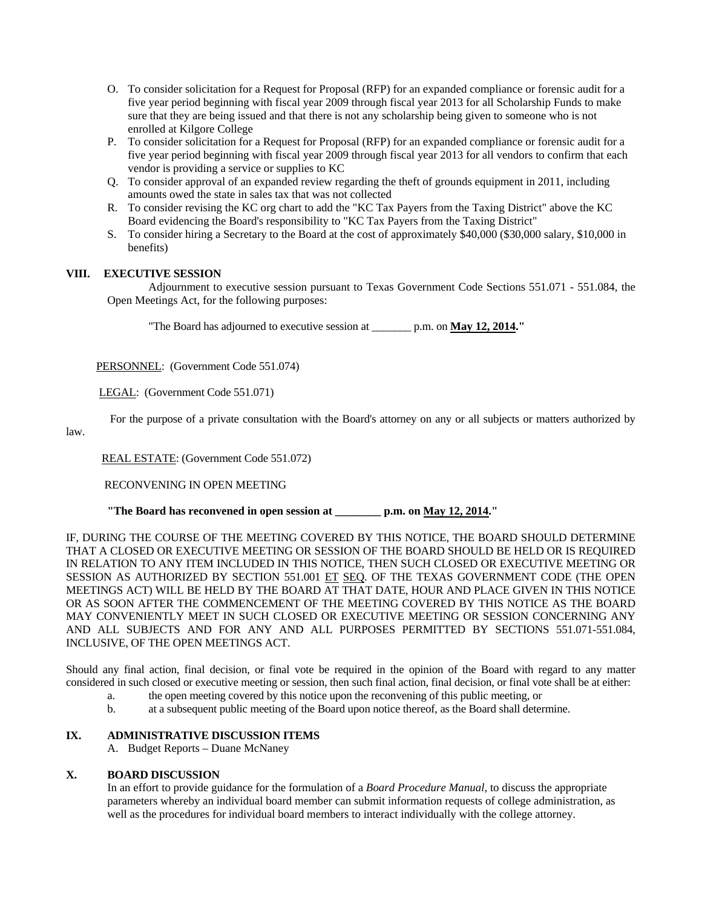- O. To consider solicitation for a Request for Proposal (RFP) for an expanded compliance or forensic audit for a five year period beginning with fiscal year 2009 through fiscal year 2013 for all Scholarship Funds to make sure that they are being issued and that there is not any scholarship being given to someone who is not enrolled at Kilgore College
- P. To consider solicitation for a Request for Proposal (RFP) for an expanded compliance or forensic audit for a five year period beginning with fiscal year 2009 through fiscal year 2013 for all vendors to confirm that each vendor is providing a service or supplies to KC
- Q. To consider approval of an expanded review regarding the theft of grounds equipment in 2011, including amounts owed the state in sales tax that was not collected
- R. To consider revising the KC org chart to add the "KC Tax Payers from the Taxing District" above the KC Board evidencing the Board's responsibility to "KC Tax Payers from the Taxing District"
- S. To consider hiring a Secretary to the Board at the cost of approximately \$40,000 (\$30,000 salary, \$10,000 in benefits)

### **VIII. EXECUTIVE SESSION**

 Adjournment to executive session pursuant to Texas Government Code Sections 551.071 - 551.084, the Open Meetings Act, for the following purposes:

"The Board has adjourned to executive session at \_\_\_\_\_\_\_ p.m. on **May 12, 2014."** 

PERSONNEL: (Government Code 551.074)

LEGAL: (Government Code 551.071)

For the purpose of a private consultation with the Board's attorney on any or all subjects or matters authorized by

law.

REAL ESTATE: (Government Code 551.072)

RECONVENING IN OPEN MEETING

 **"The Board has reconvened in open session at \_\_\_\_\_\_\_\_ p.m. on May 12, 2014."** 

IF, DURING THE COURSE OF THE MEETING COVERED BY THIS NOTICE, THE BOARD SHOULD DETERMINE THAT A CLOSED OR EXECUTIVE MEETING OR SESSION OF THE BOARD SHOULD BE HELD OR IS REQUIRED IN RELATION TO ANY ITEM INCLUDED IN THIS NOTICE, THEN SUCH CLOSED OR EXECUTIVE MEETING OR SESSION AS AUTHORIZED BY SECTION 551.001 ET SEQ. OF THE TEXAS GOVERNMENT CODE (THE OPEN MEETINGS ACT) WILL BE HELD BY THE BOARD AT THAT DATE, HOUR AND PLACE GIVEN IN THIS NOTICE OR AS SOON AFTER THE COMMENCEMENT OF THE MEETING COVERED BY THIS NOTICE AS THE BOARD MAY CONVENIENTLY MEET IN SUCH CLOSED OR EXECUTIVE MEETING OR SESSION CONCERNING ANY AND ALL SUBJECTS AND FOR ANY AND ALL PURPOSES PERMITTED BY SECTIONS 551.071-551.084, INCLUSIVE, OF THE OPEN MEETINGS ACT.

Should any final action, final decision, or final vote be required in the opinion of the Board with regard to any matter considered in such closed or executive meeting or session, then such final action, final decision, or final vote shall be at either:

- a. the open meeting covered by this notice upon the reconvening of this public meeting, or
- b. at a subsequent public meeting of the Board upon notice thereof, as the Board shall determine.

#### **IX. ADMINISTRATIVE DISCUSSION ITEMS**

A. Budget Reports – Duane McNaney

### **X. BOARD DISCUSSION**

In an effort to provide guidance for the formulation of a *Board Procedure Manual*, to discuss the appropriate parameters whereby an individual board member can submit information requests of college administration, as well as the procedures for individual board members to interact individually with the college attorney.